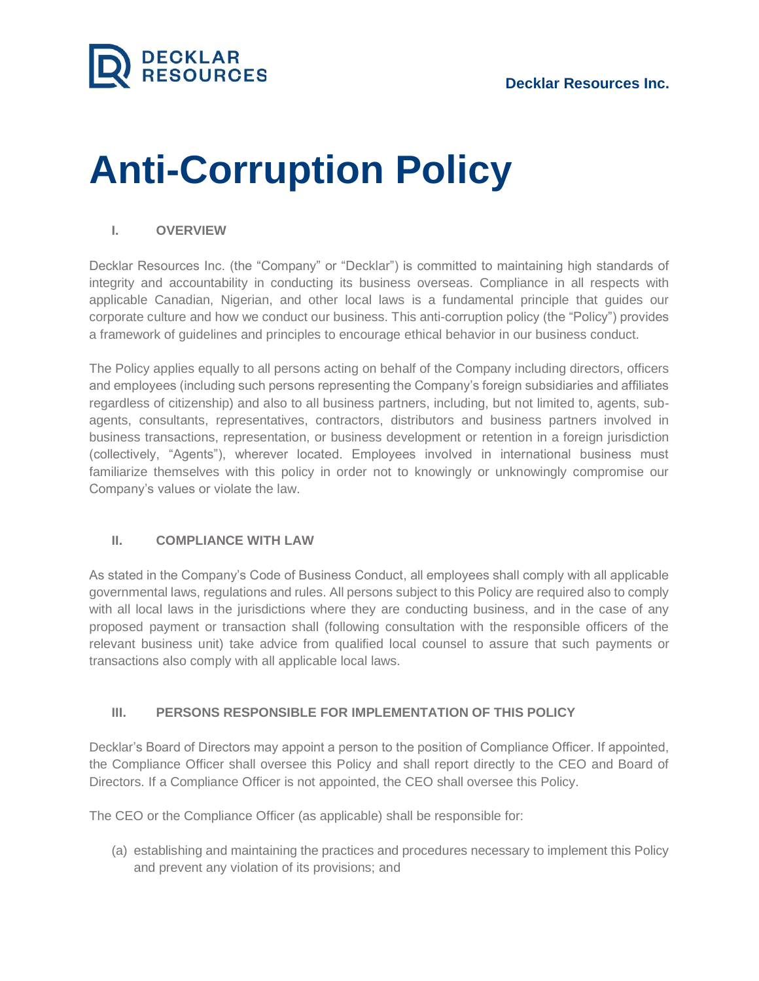

# **Anti-Corruption Policy**

### **I. OVERVIEW**

Decklar Resources Inc. (the "Company" or "Decklar") is committed to maintaining high standards of integrity and accountability in conducting its business overseas. Compliance in all respects with applicable Canadian, Nigerian, and other local laws is a fundamental principle that guides our corporate culture and how we conduct our business. This anti-corruption policy (the "Policy") provides a framework of guidelines and principles to encourage ethical behavior in our business conduct.

The Policy applies equally to all persons acting on behalf of the Company including directors, officers and employees (including such persons representing the Company's foreign subsidiaries and affiliates regardless of citizenship) and also to all business partners, including, but not limited to, agents, subagents, consultants, representatives, contractors, distributors and business partners involved in business transactions, representation, or business development or retention in a foreign jurisdiction (collectively, "Agents"), wherever located. Employees involved in international business must familiarize themselves with this policy in order not to knowingly or unknowingly compromise our Company's values or violate the law.

#### **II. COMPLIANCE WITH LAW**

As stated in the Company's Code of Business Conduct, all employees shall comply with all applicable governmental laws, regulations and rules. All persons subject to this Policy are required also to comply with all local laws in the jurisdictions where they are conducting business, and in the case of any proposed payment or transaction shall (following consultation with the responsible officers of the relevant business unit) take advice from qualified local counsel to assure that such payments or transactions also comply with all applicable local laws.

### **III. PERSONS RESPONSIBLE FOR IMPLEMENTATION OF THIS POLICY**

Decklar's Board of Directors may appoint a person to the position of Compliance Officer. If appointed, the Compliance Officer shall oversee this Policy and shall report directly to the CEO and Board of Directors. If a Compliance Officer is not appointed, the CEO shall oversee this Policy.

The CEO or the Compliance Officer (as applicable) shall be responsible for:

(a) establishing and maintaining the practices and procedures necessary to implement this Policy and prevent any violation of its provisions; and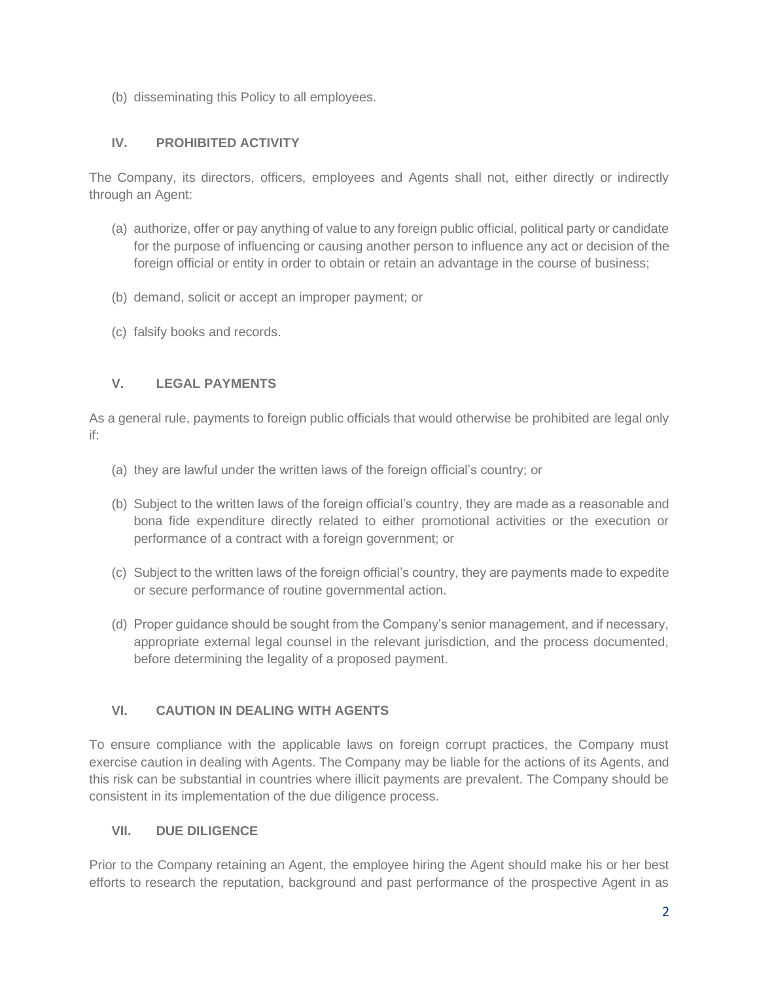(b) disseminating this Policy to all employees.

## **IV. PROHIBITED ACTIVITY**

The Company, its directors, officers, employees and Agents shall not, either directly or indirectly through an Agent:

- (a) authorize, offer or pay anything of value to any foreign public official, political party or candidate for the purpose of influencing or causing another person to influence any act or decision of the foreign official or entity in order to obtain or retain an advantage in the course of business;
- (b) demand, solicit or accept an improper payment; or
- (c) falsify books and records.

## **V. LEGAL PAYMENTS**

As a general rule, payments to foreign public officials that would otherwise be prohibited are legal only if:

- (a) they are lawful under the written laws of the foreign official's country; or
- (b) Subject to the written laws of the foreign official's country, they are made as a reasonable and bona fide expenditure directly related to either promotional activities or the execution or performance of a contract with a foreign government; or
- (c) Subject to the written laws of the foreign official's country, they are payments made to expedite or secure performance of routine governmental action.
- (d) Proper guidance should be sought from the Company's senior management, and if necessary, appropriate external legal counsel in the relevant jurisdiction, and the process documented, before determining the legality of a proposed payment.

## **VI. CAUTION IN DEALING WITH AGENTS**

To ensure compliance with the applicable laws on foreign corrupt practices, the Company must exercise caution in dealing with Agents. The Company may be liable for the actions of its Agents, and this risk can be substantial in countries where illicit payments are prevalent. The Company should be consistent in its implementation of the due diligence process.

## **VII. DUE DILIGENCE**

Prior to the Company retaining an Agent, the employee hiring the Agent should make his or her best efforts to research the reputation, background and past performance of the prospective Agent in as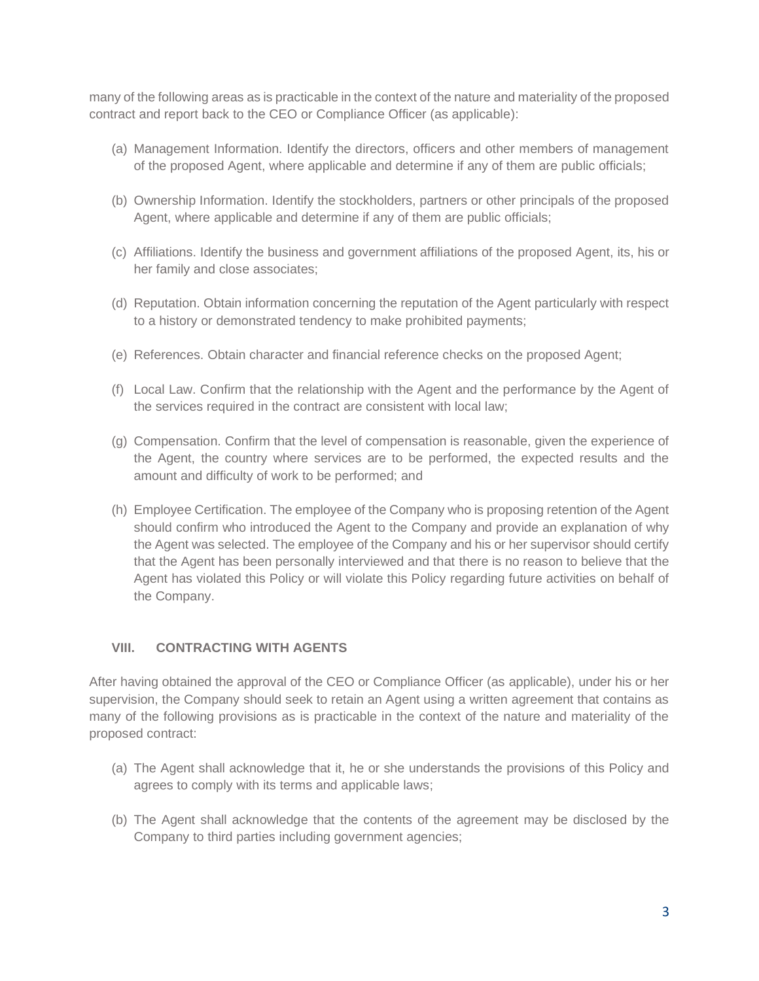many of the following areas as is practicable in the context of the nature and materiality of the proposed contract and report back to the CEO or Compliance Officer (as applicable):

- (a) Management Information. Identify the directors, officers and other members of management of the proposed Agent, where applicable and determine if any of them are public officials;
- (b) Ownership Information. Identify the stockholders, partners or other principals of the proposed Agent, where applicable and determine if any of them are public officials;
- (c) Affiliations. Identify the business and government affiliations of the proposed Agent, its, his or her family and close associates;
- (d) Reputation. Obtain information concerning the reputation of the Agent particularly with respect to a history or demonstrated tendency to make prohibited payments;
- (e) References. Obtain character and financial reference checks on the proposed Agent;
- (f) Local Law. Confirm that the relationship with the Agent and the performance by the Agent of the services required in the contract are consistent with local law;
- (g) Compensation. Confirm that the level of compensation is reasonable, given the experience of the Agent, the country where services are to be performed, the expected results and the amount and difficulty of work to be performed; and
- (h) Employee Certification. The employee of the Company who is proposing retention of the Agent should confirm who introduced the Agent to the Company and provide an explanation of why the Agent was selected. The employee of the Company and his or her supervisor should certify that the Agent has been personally interviewed and that there is no reason to believe that the Agent has violated this Policy or will violate this Policy regarding future activities on behalf of the Company.

### **VIII. CONTRACTING WITH AGENTS**

After having obtained the approval of the CEO or Compliance Officer (as applicable), under his or her supervision, the Company should seek to retain an Agent using a written agreement that contains as many of the following provisions as is practicable in the context of the nature and materiality of the proposed contract:

- (a) The Agent shall acknowledge that it, he or she understands the provisions of this Policy and agrees to comply with its terms and applicable laws;
- (b) The Agent shall acknowledge that the contents of the agreement may be disclosed by the Company to third parties including government agencies;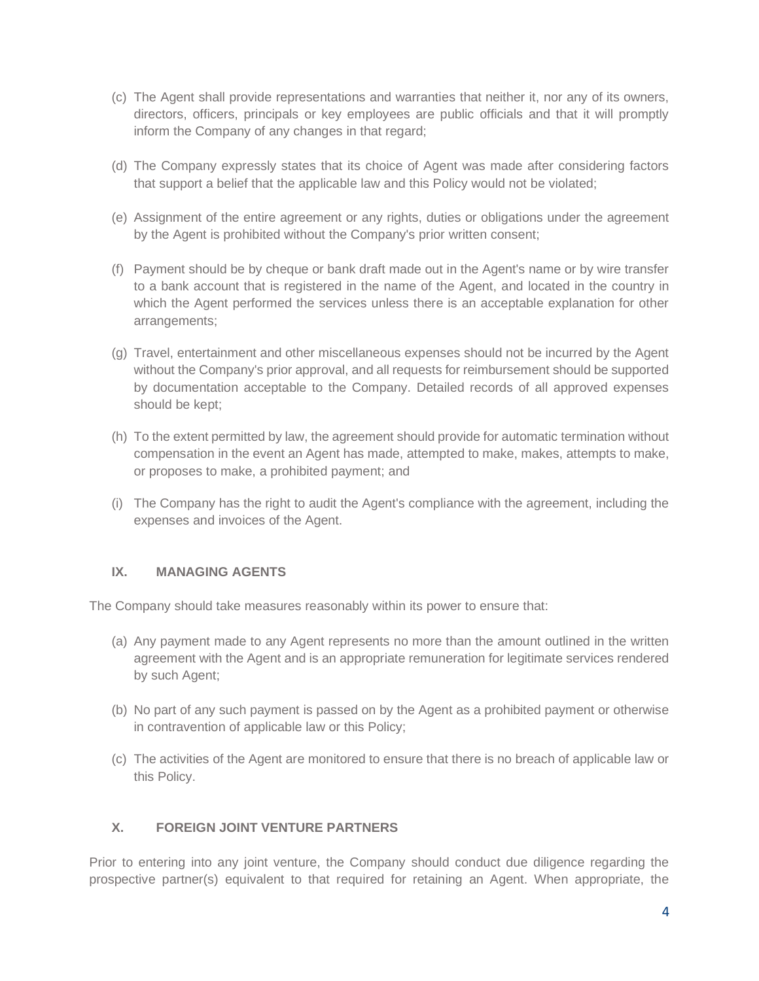- (c) The Agent shall provide representations and warranties that neither it, nor any of its owners, directors, officers, principals or key employees are public officials and that it will promptly inform the Company of any changes in that regard;
- (d) The Company expressly states that its choice of Agent was made after considering factors that support a belief that the applicable law and this Policy would not be violated;
- (e) Assignment of the entire agreement or any rights, duties or obligations under the agreement by the Agent is prohibited without the Company's prior written consent;
- (f) Payment should be by cheque or bank draft made out in the Agent's name or by wire transfer to a bank account that is registered in the name of the Agent, and located in the country in which the Agent performed the services unless there is an acceptable explanation for other arrangements;
- (g) Travel, entertainment and other miscellaneous expenses should not be incurred by the Agent without the Company's prior approval, and all requests for reimbursement should be supported by documentation acceptable to the Company. Detailed records of all approved expenses should be kept;
- (h) To the extent permitted by law, the agreement should provide for automatic termination without compensation in the event an Agent has made, attempted to make, makes, attempts to make, or proposes to make, a prohibited payment; and
- (i) The Company has the right to audit the Agent's compliance with the agreement, including the expenses and invoices of the Agent.

### **IX. MANAGING AGENTS**

The Company should take measures reasonably within its power to ensure that:

- (a) Any payment made to any Agent represents no more than the amount outlined in the written agreement with the Agent and is an appropriate remuneration for legitimate services rendered by such Agent;
- (b) No part of any such payment is passed on by the Agent as a prohibited payment or otherwise in contravention of applicable law or this Policy;
- (c) The activities of the Agent are monitored to ensure that there is no breach of applicable law or this Policy.

## **X. FOREIGN JOINT VENTURE PARTNERS**

Prior to entering into any joint venture, the Company should conduct due diligence regarding the prospective partner(s) equivalent to that required for retaining an Agent. When appropriate, the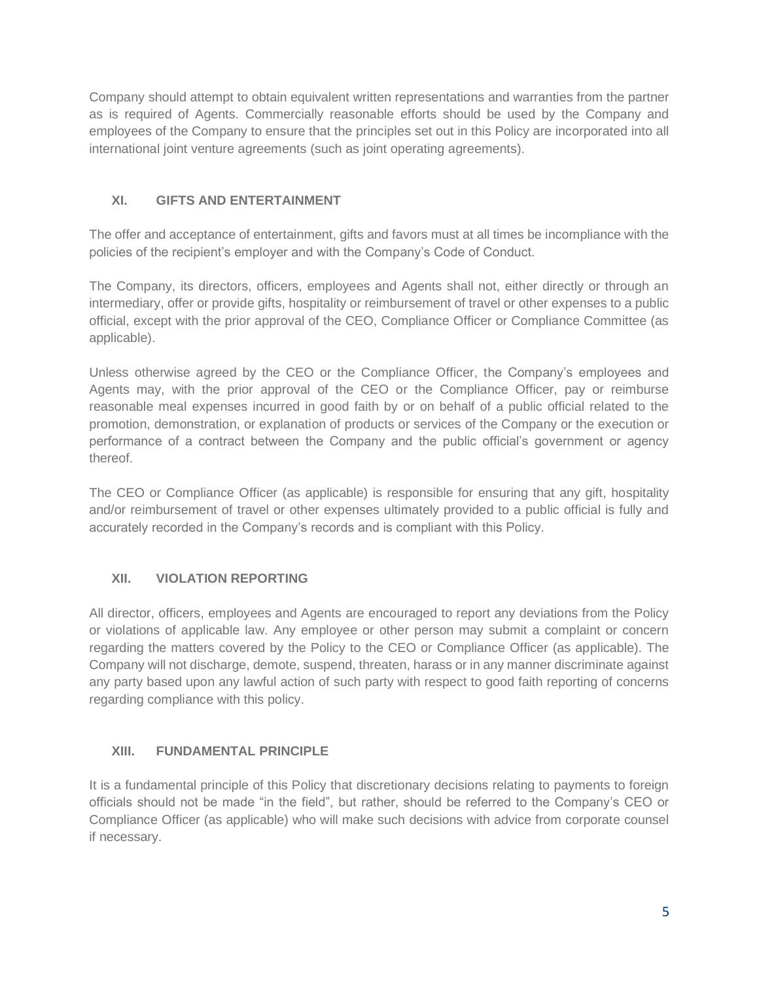Company should attempt to obtain equivalent written representations and warranties from the partner as is required of Agents. Commercially reasonable efforts should be used by the Company and employees of the Company to ensure that the principles set out in this Policy are incorporated into all international joint venture agreements (such as joint operating agreements).

## **XI. GIFTS AND ENTERTAINMENT**

The offer and acceptance of entertainment, gifts and favors must at all times be incompliance with the policies of the recipient's employer and with the Company's Code of Conduct.

The Company, its directors, officers, employees and Agents shall not, either directly or through an intermediary, offer or provide gifts, hospitality or reimbursement of travel or other expenses to a public official, except with the prior approval of the CEO, Compliance Officer or Compliance Committee (as applicable).

Unless otherwise agreed by the CEO or the Compliance Officer, the Company's employees and Agents may, with the prior approval of the CEO or the Compliance Officer, pay or reimburse reasonable meal expenses incurred in good faith by or on behalf of a public official related to the promotion, demonstration, or explanation of products or services of the Company or the execution or performance of a contract between the Company and the public official's government or agency thereof.

The CEO or Compliance Officer (as applicable) is responsible for ensuring that any gift, hospitality and/or reimbursement of travel or other expenses ultimately provided to a public official is fully and accurately recorded in the Company's records and is compliant with this Policy.

## **XII. VIOLATION REPORTING**

All director, officers, employees and Agents are encouraged to report any deviations from the Policy or violations of applicable law. Any employee or other person may submit a complaint or concern regarding the matters covered by the Policy to the CEO or Compliance Officer (as applicable). The Company will not discharge, demote, suspend, threaten, harass or in any manner discriminate against any party based upon any lawful action of such party with respect to good faith reporting of concerns regarding compliance with this policy.

## **XIII. FUNDAMENTAL PRINCIPLE**

It is a fundamental principle of this Policy that discretionary decisions relating to payments to foreign officials should not be made "in the field", but rather, should be referred to the Company's CEO or Compliance Officer (as applicable) who will make such decisions with advice from corporate counsel if necessary.